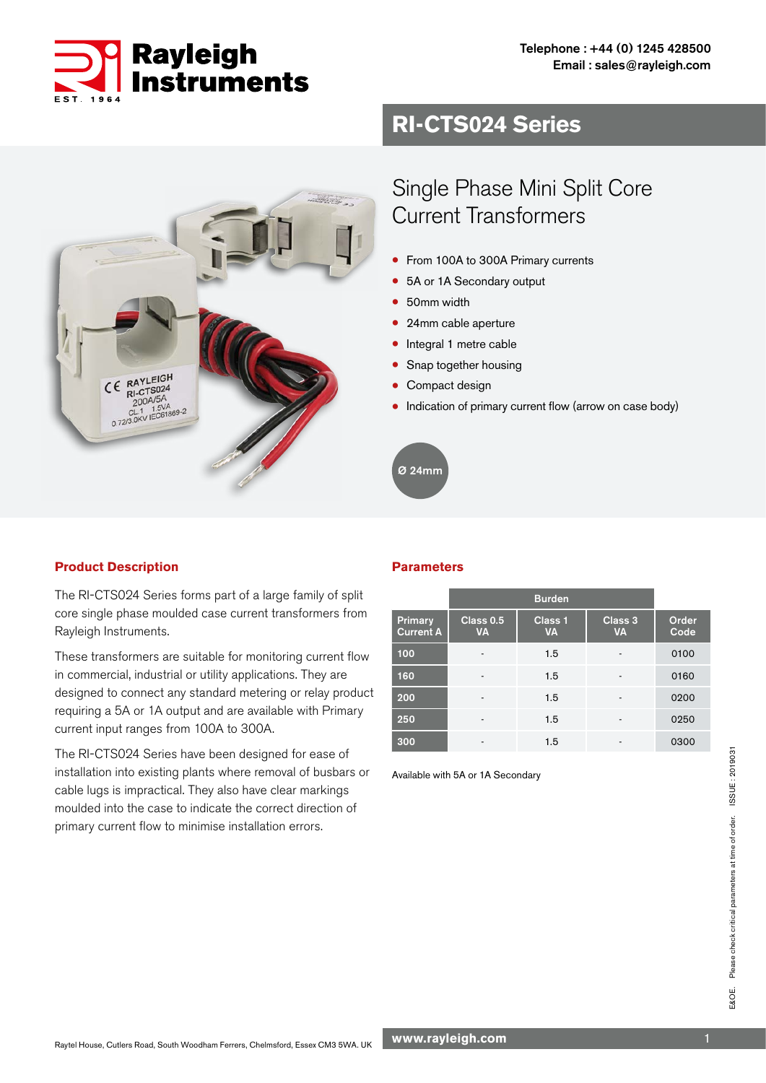

## **RI-CTS024 Series**



# Single Phase Mini Split Core Current Transformers

- From 100A to 300A Primary currents
- 5A or 1A Secondary output
- 50mm width
- 24mm cable aperture
- Integral 1 metre cable
- Snap together housing
- Compact design
- Indication of primary current flow (arrow on case body)

Ø 24mm

### **Product Description**

The RI-CTS024 Series forms part of a large family of split core single phase moulded case current transformers from Rayleigh Instruments.

These transformers are suitable for monitoring current flow in commercial, industrial or utility applications. They are designed to connect any standard metering or relay product requiring a 5A or 1A output and are available with Primary current input ranges from 100A to 300A.

The RI-CTS024 Series have been designed for ease of installation into existing plants where removal of busbars or cable lugs is impractical. They also have clear markings moulded into the case to indicate the correct direction of primary current flow to minimise installation errors.

### **Parameters**

|                                    |                          | <b>Burden</b>        |                      |               |
|------------------------------------|--------------------------|----------------------|----------------------|---------------|
| <b>Primary</b><br><b>Current A</b> | Class 0.5<br><b>VA</b>   | Class 1<br><b>VA</b> | Class 3<br><b>VA</b> | Order<br>Code |
| 100                                | ٠                        | 1.5                  | -                    | 0100          |
| 160                                | -                        | 1.5                  |                      | 0160          |
| 200                                | $\overline{\phantom{a}}$ | 1.5                  | -                    | 0200          |
| 250                                | -                        | 1.5                  |                      | 0250          |
| 300                                | -                        | 1.5                  |                      | 0300          |

Available with 5A or 1A Secondary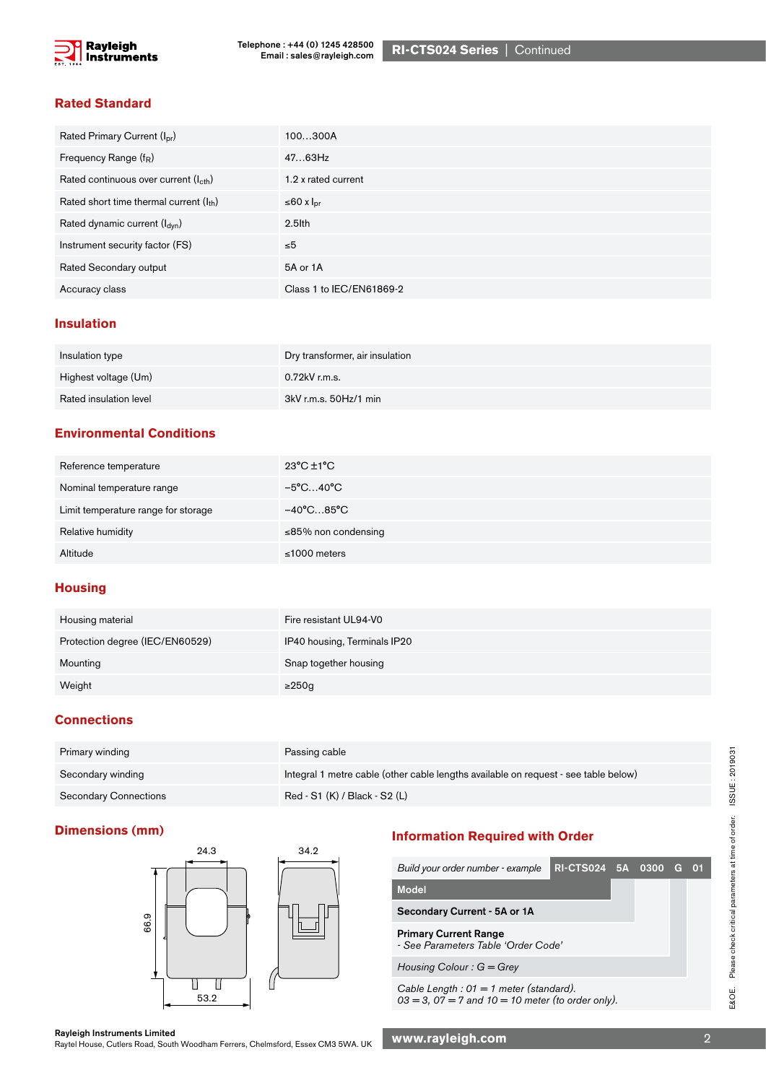

RI-CTS024 Series | Continued

### **Rated Standard**

| Rated Primary Current (I <sub>pr</sub> )          | 100300A                  |
|---------------------------------------------------|--------------------------|
| Frequency Range (f <sub>R</sub> )                 | 4763Hz                   |
| Rated continuous over current (I <sub>cth</sub> ) | 1.2 x rated current      |
| Rated short time thermal current $(I_{th})$       | ≤60 x $Ipr$              |
| Rated dynamic current (I <sub>dvn</sub> )         | $2.5$ lth                |
| Instrument security factor (FS)                   | $\leq 5$                 |
| Rated Secondary output                            | 5A or 1A                 |
| Accuracy class                                    | Class 1 to IEC/EN61869-2 |

### **Insulation**

| Insulation type        | Dry transformer, air insulation |
|------------------------|---------------------------------|
| Highest voltage (Um)   | 0.72kV r.m.s.                   |
| Rated insulation level | 3kV r.m.s. 50Hz/1 min           |

### **Environmental Conditions**

| Reference temperature               | $23^{\circ}$ C $\pm$ 1 $^{\circ}$ C |
|-------------------------------------|-------------------------------------|
| Nominal temperature range           | −5°C…40°C                           |
| Limit temperature range for storage | $-40^{\circ}$ C85 $^{\circ}$ C      |
| Relative humidity                   | ≤85% non condensing                 |
| Altitude                            | $\leq 1000$ meters                  |

### **Housing**

| Housing material                | Fire resistant UL94-V0       |
|---------------------------------|------------------------------|
| Protection degree (IEC/EN60529) | IP40 housing, Terminals IP20 |
| Mounting                        | Snap together housing        |
| Weight                          | $\geq$ 250g                  |

### **Connections**

| Primary winding              | Passing cable                                                                       |
|------------------------------|-------------------------------------------------------------------------------------|
| Secondary winding            | Integral 1 metre cable (other cable lengths available on request - see table below) |
| <b>Secondary Connections</b> | Red - S1 (K) / Black - S2 (L)                                                       |



## **Dimensions (mm) Information Required with Order**

| 27.V | ◡╌ |  |                                                                                                     |                        |  |  |  |  |
|------|----|--|-----------------------------------------------------------------------------------------------------|------------------------|--|--|--|--|
|      |    |  | Build your order number - example                                                                   | RI-CTS024 5A 0300 G 01 |  |  |  |  |
|      |    |  | <b>Model</b>                                                                                        |                        |  |  |  |  |
|      |    |  | Secondary Current - 5A or 1A                                                                        |                        |  |  |  |  |
|      |    |  | <b>Primary Current Range</b><br>- See Parameters Table 'Order Code'                                 |                        |  |  |  |  |
|      |    |  | Housing Colour: $G = Grey$                                                                          |                        |  |  |  |  |
| 53.2 |    |  | Cable Length : 01 = 1 meter (standard).<br>$03 = 3$ , $07 = 7$ and $10 = 10$ meter (to order only). |                        |  |  |  |  |

Rayleigh Instruments Limited<br>Raytel House, Cutlers Road, South Woodham Ferrers, Chelmsford, Essex CM3 5WA. UK WWW.**rayleigh.com** National Procession Communisty Communisty Communisty Communisty Communisty Communisty Communi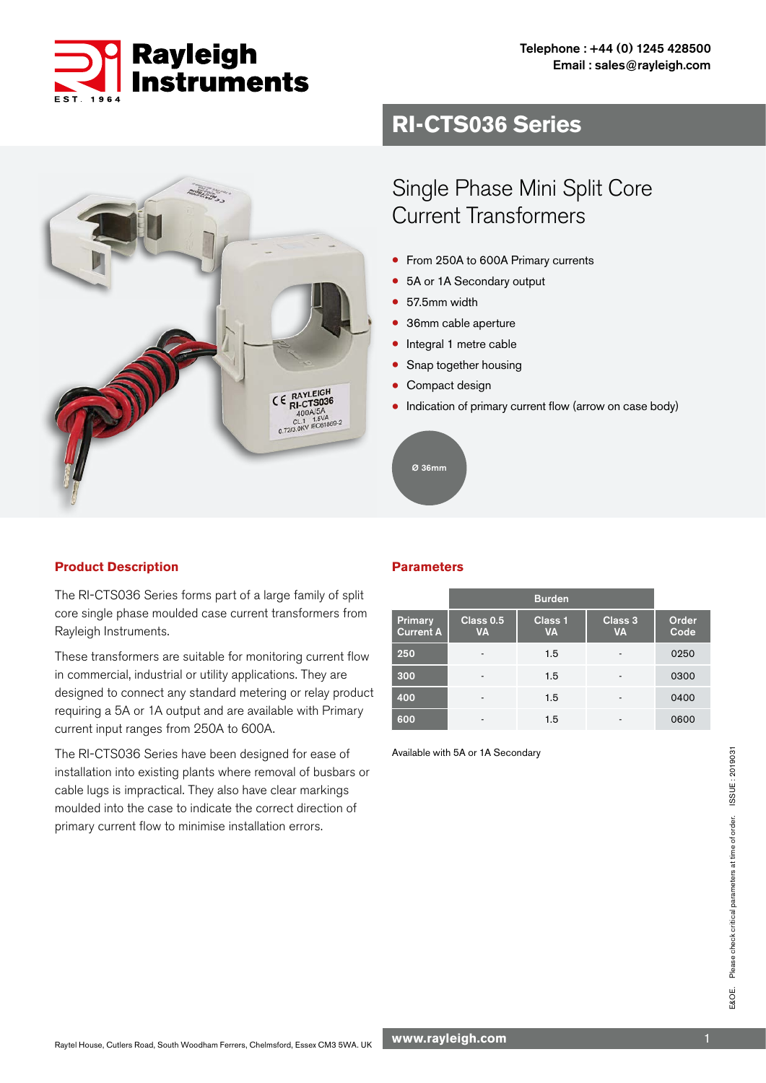

Sidos,

## **RI-CTS036 Series**

# Single Phase Mini Split Core Current Transformers

- From 250A to 600A Primary currents
- 5A or 1A Secondary output
- 57.5mm width
- 36mm cable aperture
- Integral 1 metre cable
- Snap together housing
- Compact design
- Indication of primary current flow (arrow on case body)



### **Product Description**

The RI-CTS036 Series forms part of a large family of split core single phase moulded case current transformers from Rayleigh Instruments.

CE RAYLEIGH RI-CTS036<br>
400A/5A<br>
CL1 1.5VA<br>
0.72/3.0KV IEC61861

These transformers are suitable for monitoring current flow in commercial, industrial or utility applications. They are designed to connect any standard metering or relay product requiring a 5A or 1A output and are available with Primary current input ranges from 250A to 600A.

The RI-CTS036 Series have been designed for ease of installation into existing plants where removal of busbars or cable lugs is impractical. They also have clear markings moulded into the case to indicate the correct direction of primary current flow to minimise installation errors.

### **Parameters**

|                             | <b>Burden</b>            |                      |                      |               |
|-----------------------------|--------------------------|----------------------|----------------------|---------------|
| Primary<br><b>Current A</b> | Class 0.5<br><b>VA</b>   | Class 1<br><b>VA</b> | Class 3<br><b>VA</b> | Order<br>Code |
| 250                         | $\overline{\phantom{a}}$ | 1.5                  | ٠                    | 0250          |
| 300                         | ٠                        | 1.5                  |                      | 0300          |
| 400                         | $\overline{\phantom{a}}$ | 1.5                  | ٠                    | 0400          |
| 600                         | ٠                        | 1.5                  |                      | 0600          |

Available with 5A or 1A Secondary